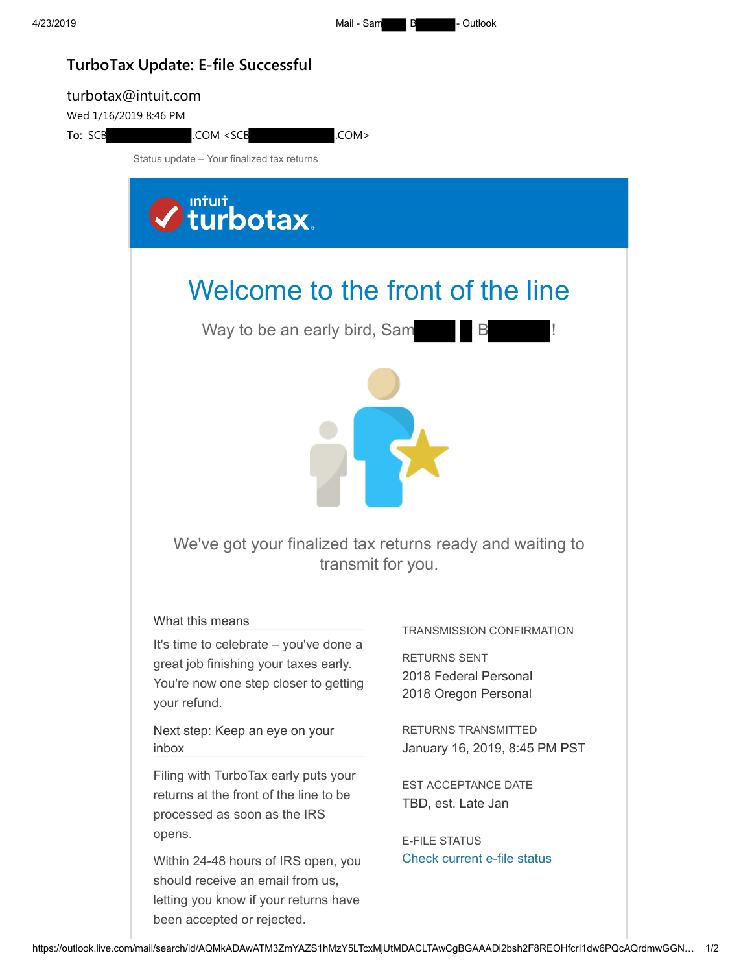4/23/2019 Mail - Sam B - Outlook

## **TurboTax Update: E-file Successful**

## turbotax@intuit.com Wed 1/16/2019 8:46 PM To: SCB .COM <SCB .COM > Status update – Your finalized tax returns **V** turbotax. Welcome to the front of the line Way to be an early bird, Sam  $\blacksquare$  B 5 We've got your finalized tax returns ready and waiting to transmit for you. What this means TRANSMISSION CONFIRMATION It's time to celebrate – you've done a RETURNS SENT great job finishing your taxes early. 2018 Federal Personal You're now one step closer to getting 2018 Oregon Personal your refund. RETURNS TRANSMITTED Next step: Keep an eye on your inbox January 16, 2019, 8:45 PM PST Filing with TurboTax early puts your EST ACCEPTANCE DATE returns at the front of the line to be TBD, est. Late Jan processed as soon as the IRS opens. E-FILE STATUS [Check current e-file status](https://myturbotax.intuit.com/)Within 24-48 hours of IRS open, you should receive an email from us, letting you know if your returns have been accepted or rejected.